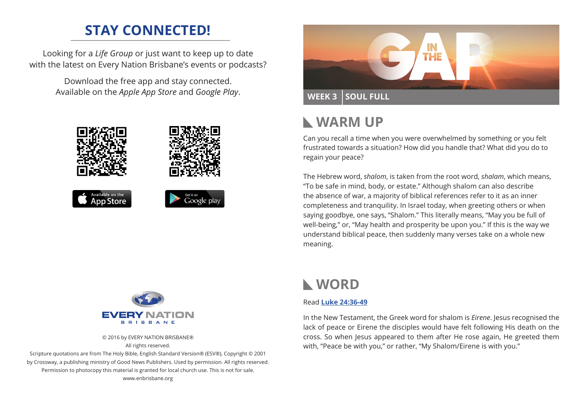# **STAY CONNECTED!**

Looking for a *Life Group* or just want to keep up to date with the latest on Every Nation Brisbane's events or podcasts?

> Download the free app and stay connected. Available on the *Apple App Store* and *Google Play*.





© 2016 by EVERY NATION BRISBANE® All rights reserved.

Scripture quotations are from The Holy Bible, English Standard Version® (ESV®), Copyright © 2001 by Crossway, a publishing ministry of Good News Publishers. Used by permission. All rights reserved. Permission to photocopy this material is granted for local church use. This is not for sale. www.enbrisbane.org



# **WARM UP**

Can you recall a time when you were overwhelmed by something or you felt frustrated towards a situation? How did you handle that? What did you do to regain your peace?

The Hebrew word, *shalom*, is taken from the root word, *shalam*, which means, "To be safe in mind, body, or estate." Although shalom can also describe the absence of war, a majority of biblical references refer to it as an inner completeness and tranquility. In Israel today, when greeting others or when saying goodbye, one says, "Shalom." This literally means, "May you be full of well-being," or, "May health and prosperity be upon you." If this is the way we understand biblical peace, then suddenly many verses take on a whole new meaning.

# **WORD**

### Read **[Luke 24:36-49](https://www.biblegateway.com/passage/?search=Luke+24%3A36-49&version=ESV)**

In the New Testament, the Greek word for shalom is *Eirene*. Jesus recognised the lack of peace or Eirene the disciples would have felt following His death on the cross. So when Jesus appeared to them after He rose again, He greeted them with, "Peace be with you," or rather, "My Shalom/Eirene is with you."